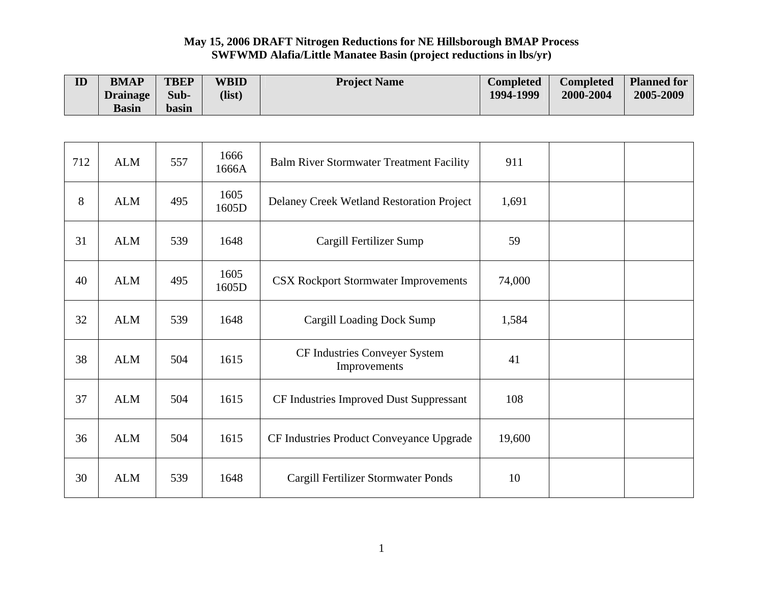## **May 15, 2006 DRAFT Nitrogen Reductions for NE Hillsborough BMAP Process SWFWMD Alafia/Little Manatee Basin (project reductions in lbs/yr)**

| ID  | <b>BMAP</b>                     | <b>TBEP</b>   | <b>WBID</b>   | <b>Project Name</b>                             | <b>Completed</b> | <b>Completed</b> | <b>Planned for</b> |
|-----|---------------------------------|---------------|---------------|-------------------------------------------------|------------------|------------------|--------------------|
|     | <b>Drainage</b><br><b>Basin</b> | Sub-<br>basin | (list)        |                                                 | 1994-1999        | 2000-2004        | 2005-2009          |
|     |                                 |               |               |                                                 |                  |                  |                    |
|     |                                 |               |               |                                                 |                  |                  |                    |
| 712 | <b>ALM</b>                      | 557           | 1666<br>1666A | <b>Balm River Stormwater Treatment Facility</b> | 911              |                  |                    |
| 8   | <b>ALM</b>                      | 495           | 1605<br>1605D | Delaney Creek Wetland Restoration Project       | 1,691            |                  |                    |
| 31  | <b>ALM</b>                      | 539           | 1648          | Cargill Fertilizer Sump                         | 59               |                  |                    |
| 40  | <b>ALM</b>                      | 495           | 1605<br>1605D | <b>CSX Rockport Stormwater Improvements</b>     | 74,000           |                  |                    |
| 32  | <b>ALM</b>                      | 539           | 1648          | Cargill Loading Dock Sump                       | 1,584            |                  |                    |
| 38  | <b>ALM</b>                      | 504           | 1615          | CF Industries Conveyer System<br>Improvements   | 41               |                  |                    |
| 37  | <b>ALM</b>                      | 504           | 1615          | CF Industries Improved Dust Suppressant         | 108              |                  |                    |
| 36  | <b>ALM</b>                      | 504           | 1615          | CF Industries Product Conveyance Upgrade        | 19,600           |                  |                    |
| 30  | <b>ALM</b>                      | 539           | 1648          | Cargill Fertilizer Stormwater Ponds             | 10               |                  |                    |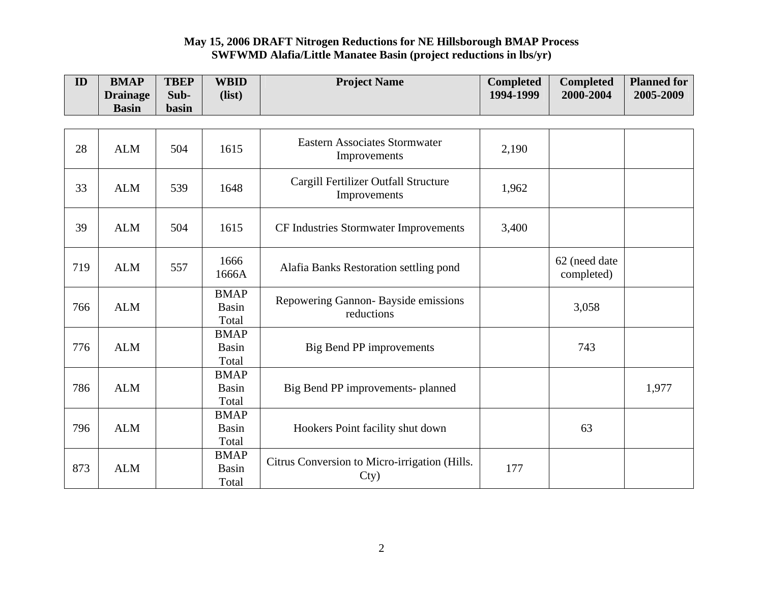## **May 15, 2006 DRAFT Nitrogen Reductions for NE Hillsborough BMAP Process SWFWMD Alafia/Little Manatee Basin (project reductions in lbs/yr)**

| ID  | <b>BMAP</b>                     | <b>TBEP</b>   | <b>WBID</b>                          | <b>Project Name</b>                                   | <b>Completed</b> | <b>Completed</b>            | <b>Planned for</b> |
|-----|---------------------------------|---------------|--------------------------------------|-------------------------------------------------------|------------------|-----------------------------|--------------------|
|     | <b>Drainage</b><br><b>Basin</b> | Sub-<br>basin | (list)                               |                                                       | 1994-1999        | 2000-2004                   | 2005-2009          |
|     |                                 |               |                                      |                                                       |                  |                             |                    |
| 28  | <b>ALM</b>                      | 504           | 1615                                 | <b>Eastern Associates Stormwater</b><br>Improvements  | 2,190            |                             |                    |
| 33  | <b>ALM</b>                      | 539           | 1648                                 | Cargill Fertilizer Outfall Structure<br>Improvements  | 1,962            |                             |                    |
| 39  | <b>ALM</b>                      | 504           | 1615                                 | CF Industries Stormwater Improvements                 | 3,400            |                             |                    |
| 719 | <b>ALM</b>                      | 557           | 1666<br>1666A                        | Alafia Banks Restoration settling pond                |                  | 62 (need date<br>completed) |                    |
| 766 | <b>ALM</b>                      |               | <b>BMAP</b><br>Basin<br>Total        | Repowering Gannon- Bayside emissions<br>reductions    |                  | 3,058                       |                    |
| 776 | <b>ALM</b>                      |               | <b>BMAP</b><br>Basin<br>Total        | <b>Big Bend PP improvements</b>                       |                  | 743                         |                    |
| 786 | <b>ALM</b>                      |               | <b>BMAP</b><br><b>Basin</b><br>Total | Big Bend PP improvements- planned                     |                  |                             | 1,977              |
| 796 | <b>ALM</b>                      |               | <b>BMAP</b><br><b>Basin</b><br>Total | Hookers Point facility shut down                      |                  | 63                          |                    |
| 873 | <b>ALM</b>                      |               | <b>BMAP</b><br>Basin<br>Total        | Citrus Conversion to Micro-irrigation (Hills.<br>Cty) | 177              |                             |                    |